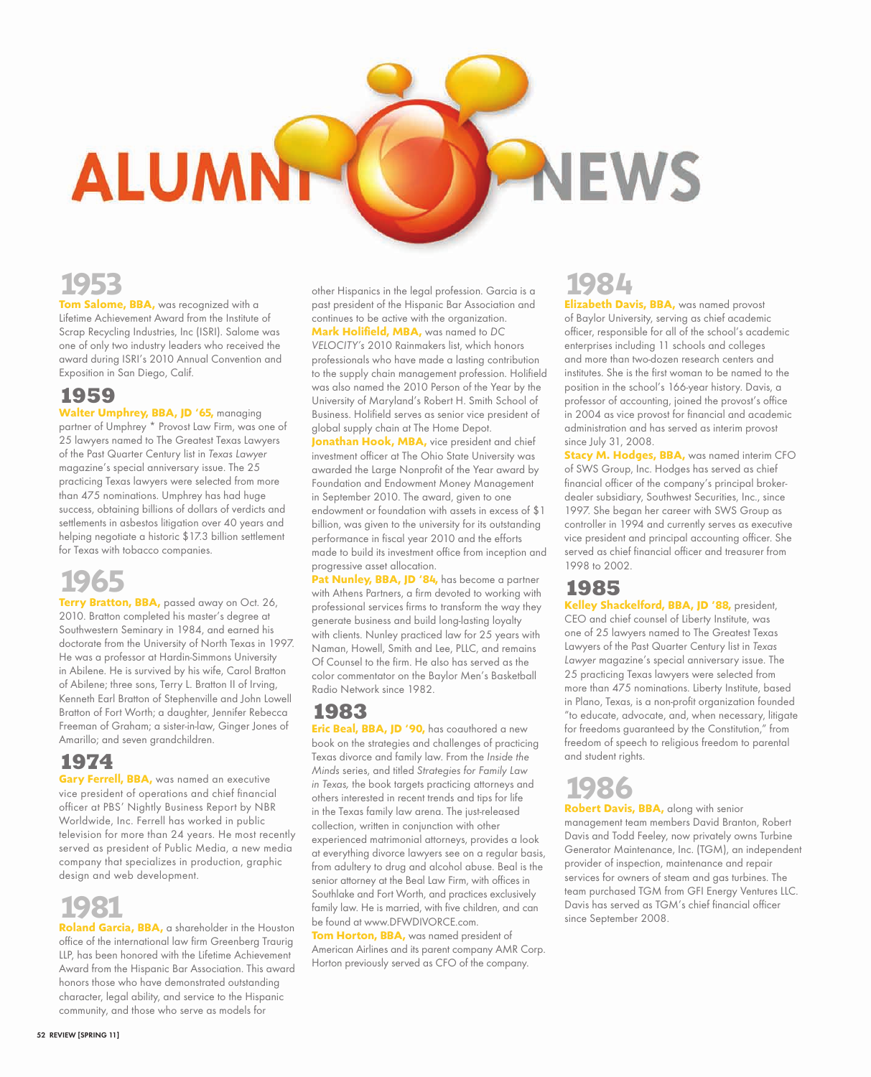**1953 Tom Salome, BBA,** was recognized with a Lifetime Achievement Award from the Institute of Scrap Recycling Industries, Inc (ISRI). Salome was one of only two industry leaders who received the award during ISRI's 2010 Annual Convention and Exposition in San Diego, Calif.

**ALUMN** 

### **1959**

**Walter Umphrey, BBA, JD '65,** managing partner of Umphrey \* Provost Law Firm, was one of 25 lawyers named to The Greatest Texas Lawyers of the Past Quarter Century list in Texas Lawyer magazine's special anniversary issue. The 25 practicing Texas lawyers were selected from more than 475 nominations. Umphrey has had huge success, obtaining billions of dollars of verdicts and settlements in asbestos litigation over 40 years and helping negotiate a historic \$17.3 billion settlement for Texas with tobacco companies.

## **1965**

**Terry Bratton, BBA,** passed away on Oct. 26, 2010. Bratton completed his master's degree at Southwestern Seminary in 1984, and earned his doctorate from the University of North Texas in 1997. He was a professor at Hardin-Simmons University in Abilene. He is survived by his wife, Carol Bratton of Abilene; three sons, Terry L. Bratton II of Irving, Kenneth Earl Bratton of Stephenville and John Lowell Bratton of Fort Worth; a daughter, Jennifer Rebecca Freeman of Graham; a sister-in-law, Ginger Jones of Amarillo; and seven grandchildren.

## **1974**

**Gary Ferrell, BBA, was named an executive** vice president of operations and chief financial officer at PBS' Nightly Business Report by NBR Worldwide, Inc. Ferrell has worked in public television for more than 24 years. He most recently served as president of Public Media, a new media company that specializes in production, graphic design and web development.

## **1981**

**Roland Garcia, BBA,** a shareholder in the Houston office of the international law firm Greenberg Traurig LLP, has been honored with the Lifetime Achievement Award from the Hispanic Bar Association. This award honors those who have demonstrated outstanding character, legal ability, and service to the Hispanic community, and those who serve as models for

other Hispanics in the legal profession. Garcia is a past president of the Hispanic Bar Association and continues to be active with the organization. **Mark Holifield, MBA,** was named to DC

VELOCITY's 2010 Rainmakers list, which honors professionals who have made a lasting contribution to the supply chain management profession. Holifield was also named the 2010 Person of the Year by the University of Maryland's Robert H. Smith School of Business. Holifield serves as senior vice president of global supply chain at The Home Depot.

**Jonathan Hook, MBA, vice president and chief** investment officer at The Ohio State University was awarded the Large Nonprofit of the Year award by Foundation and Endowment Money Management in September 2010. The award, given to one endowment or foundation with assets in excess of \$1 billion, was given to the university for its outstanding performance in fiscal year 2010 and the efforts made to build its investment office from inception and progressive asset allocation.

Pat Nunley, BBA, JD '84, has become a partner with Athens Partners, a firm devoted to working with professional services firms to transform the way they generate business and build long-lasting loyalty with clients. Nunley practiced law for 25 years with Naman, Howell, Smith and Lee, PLLC, and remains Of Counsel to the firm. He also has served as the color commentator on the Baylor Men's Basketball Radio Network since 1982.

## **1983**

**Eric Beal, BBA, JD '90,** has coauthored a new book on the strategies and challenges of practicing Texas divorce and family law. From the Inside the Minds series, and titled Strategies for Family Law in Texas, the book targets practicing attorneys and others interested in recent trends and tips for life in the Texas family law arena. The just-released collection, written in conjunction with other experienced matrimonial attorneys, provides a look at everything divorce lawyers see on a regular basis, from adultery to drug and alcohol abuse. Beal is the senior attorney at the Beal Law Firm, with offices in Southlake and Fort Worth, and practices exclusively family law. He is married, with five children, and can be found at www.DFWDIVORCE.com.

**Tom Horton, BBA,** was named president of American Airlines and its parent company AMR Corp. Horton previously served as CFO of the company.

## **1984**

**IEWS** 

**Elizabeth Davis, BBA,** was named provost of Baylor University, serving as chief academic officer, responsible for all of the school's academic enterprises including 11 schools and colleges and more than two-dozen research centers and institutes. She is the first woman to be named to the position in the school's 166-year history. Davis, a professor of accounting, joined the provost's office in 2004 as vice provost for financial and academic administration and has served as interim provost since July 31, 2008.

**Stacy M. Hodges, BBA,** was named interim CFO of SWS Group, Inc. Hodges has served as chief financial officer of the company's principal brokerdealer subsidiary, Southwest Securities, Inc., since 1997. She began her career with SWS Group as controller in 1994 and currently serves as executive vice president and principal accounting officer. She served as chief financial officer and treasurer from 1998 to 2002.

### **1985**

**Kelley Shackelford, BBA, JD '88,** president, CEO and chief counsel of Liberty Institute, was one of 25 lawyers named to The Greatest Texas Lawyers of the Past Quarter Century list in Texas Lawyer magazine's special anniversary issue. The 25 practicing Texas lawyers were selected from more than 475 nominations. Liberty Institute, based in Plano, Texas, is a non-profit organization founded "to educate, advocate, and, when necessary, litigate for freedoms guaranteed by the Constitution," from freedom of speech to religious freedom to parental and student rights.

# **1986 Robert Davis, BBA,** along with senior

management team members David Branton, Robert Davis and Todd Feeley, now privately owns Turbine Generator Maintenance, Inc. (TGM), an independent provider of inspection, maintenance and repair services for owners of steam and gas turbines. The team purchased TGM from GFI Energy Ventures LLC. Davis has served as TGM's chief financial officer since September 2008.